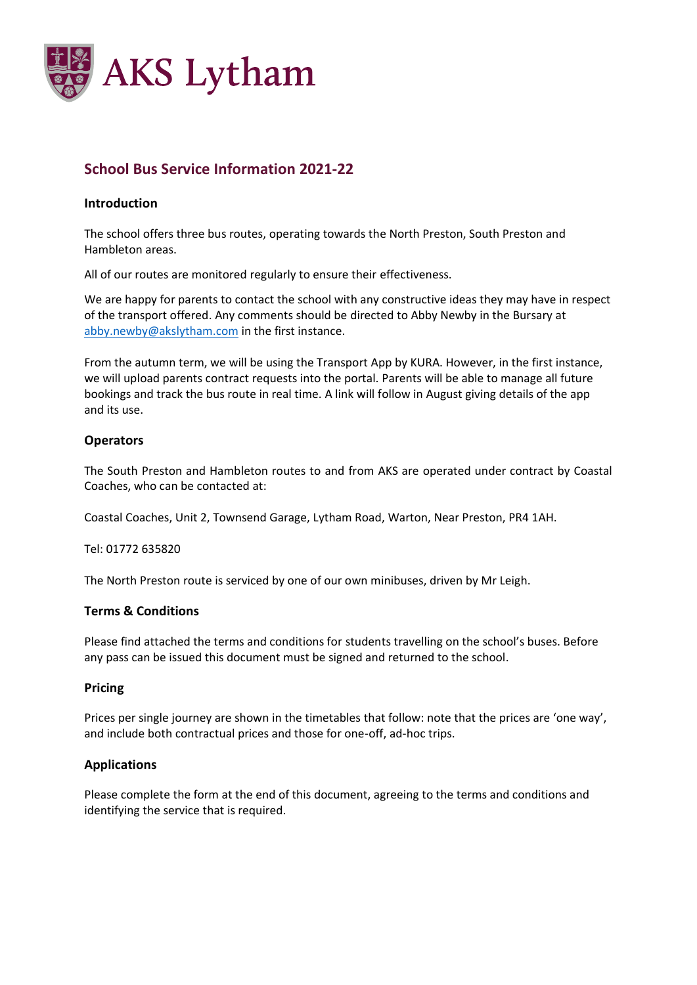

### **School Bus Service Information 2021-22**

#### **Introduction**

The school offers three bus routes, operating towards the North Preston, South Preston and Hambleton areas.

All of our routes are monitored regularly to ensure their effectiveness.

We are happy for parents to contact the school with any constructive ideas they may have in respect of the transport offered. Any comments should be directed to Abby Newby in the Bursary at abby.newby@akslytham.com in the first instance.

From the autumn term, we will be using the Transport App by KURA. However, in the first instance, we will upload parents contract requests into the portal. Parents will be able to manage all future bookings and track the bus route in real time. A link will follow in August giving details of the app and its use.

### **Operators**

The South Preston and Hambleton routes to and from AKS are operated under contract by Coastal Coaches, who can be contacted at:

Coastal Coaches, Unit 2, Townsend Garage, Lytham Road, Warton, Near Preston, PR4 1AH.

Tel: 01772 635820

The North Preston route is serviced by one of our own minibuses, driven by Mr Leigh.

#### **Terms & Conditions**

Please find attached the terms and conditions for students travelling on the school's buses. Before any pass can be issued this document must be signed and returned to the school.

#### **Pricing**

Prices per single journey are shown in the timetables that follow: note that the prices are 'one way', and include both contractual prices and those for one-off, ad-hoc trips.

### **Applications**

Please complete the form at the end of this document, agreeing to the terms and conditions and identifying the service that is required.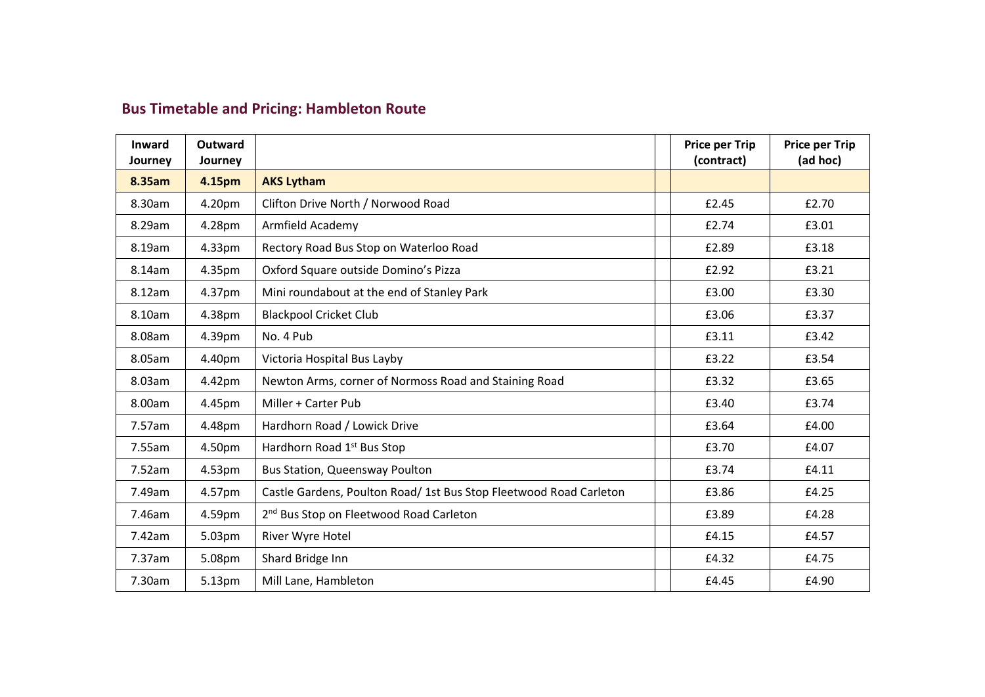# **Bus Timetable and Pricing: Hambleton Route**

| <b>Inward</b><br>Journey | <b>Outward</b><br>Journey |                                                                    | <b>Price per Trip</b><br>(contract) | <b>Price per Trip</b><br>(ad hoc) |
|--------------------------|---------------------------|--------------------------------------------------------------------|-------------------------------------|-----------------------------------|
| 8.35am                   | 4.15pm                    | <b>AKS Lytham</b>                                                  |                                     |                                   |
| 8.30am                   | 4.20pm                    | Clifton Drive North / Norwood Road                                 | £2.45                               | £2.70                             |
| 8.29am                   | 4.28pm                    | Armfield Academy                                                   | £2.74                               | £3.01                             |
| 8.19am                   | 4.33pm                    | Rectory Road Bus Stop on Waterloo Road                             | £2.89                               | £3.18                             |
| 8.14am                   | 4.35pm                    | Oxford Square outside Domino's Pizza                               | £2.92                               | £3.21                             |
| 8.12am                   | 4.37pm                    | Mini roundabout at the end of Stanley Park                         | £3.00                               | £3.30                             |
| 8.10am                   | 4.38pm                    | <b>Blackpool Cricket Club</b>                                      | £3.06                               | £3.37                             |
| 8.08am                   | 4.39pm                    | No. 4 Pub                                                          | £3.11                               | £3.42                             |
| 8.05am                   | 4.40pm                    | Victoria Hospital Bus Layby                                        | £3.22                               | £3.54                             |
| 8.03am                   | 4.42pm                    | Newton Arms, corner of Normoss Road and Staining Road              | £3.32                               | £3.65                             |
| 8.00am                   | 4.45pm                    | Miller + Carter Pub                                                | £3.40                               | £3.74                             |
| 7.57am                   | 4.48pm                    | Hardhorn Road / Lowick Drive                                       | £3.64                               | £4.00                             |
| 7.55am                   | 4.50pm                    | Hardhorn Road 1 <sup>st</sup> Bus Stop                             | £3.70                               | £4.07                             |
| 7.52am                   | 4.53pm                    | <b>Bus Station, Queensway Poulton</b>                              | £3.74                               | £4.11                             |
| 7.49am                   | 4.57pm                    | Castle Gardens, Poulton Road/ 1st Bus Stop Fleetwood Road Carleton | £3.86                               | £4.25                             |
| 7.46am                   | 4.59pm                    | 2 <sup>nd</sup> Bus Stop on Fleetwood Road Carleton                | £3.89                               | £4.28                             |
| 7.42am                   | 5.03pm                    | River Wyre Hotel                                                   | £4.15                               | £4.57                             |
| 7.37am                   | 5.08pm                    | Shard Bridge Inn                                                   | £4.32                               | £4.75                             |
| 7.30am                   | 5.13pm                    | Mill Lane, Hambleton                                               | £4.45                               | £4.90                             |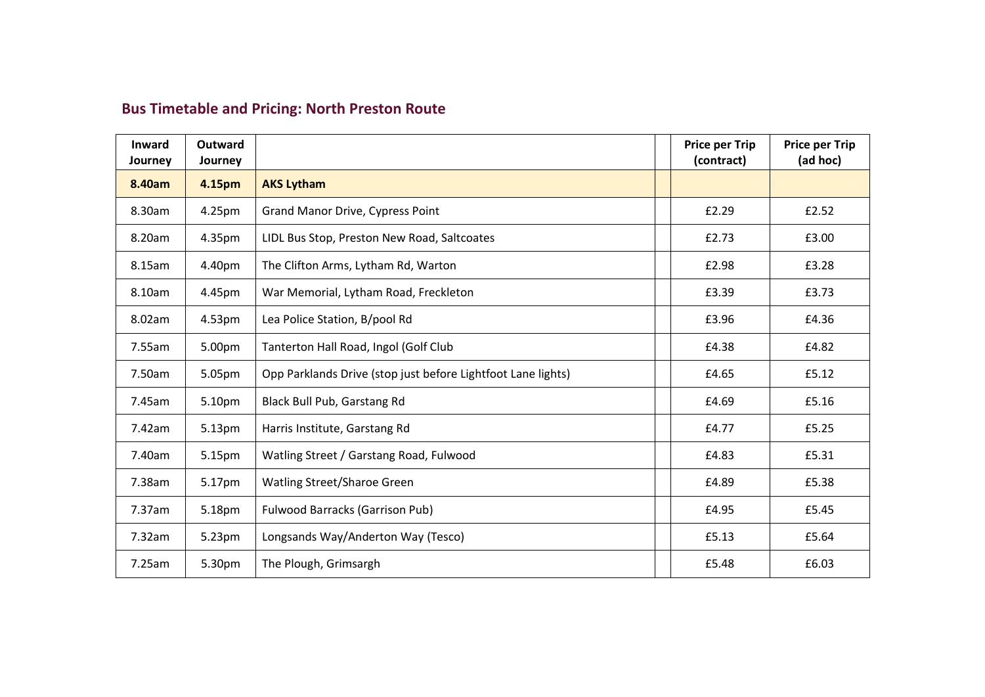# **Bus Timetable and Pricing: North Preston Route**

| <b>Inward</b><br>Journey | <b>Outward</b><br>Journey |                                                              | <b>Price per Trip</b><br>(contract) | <b>Price per Trip</b><br>(ad hoc) |
|--------------------------|---------------------------|--------------------------------------------------------------|-------------------------------------|-----------------------------------|
| 8.40am                   | 4.15pm                    | <b>AKS Lytham</b>                                            |                                     |                                   |
| 8.30am                   | 4.25pm                    | <b>Grand Manor Drive, Cypress Point</b>                      | £2.29                               | £2.52                             |
| 8.20am                   | 4.35pm                    | LIDL Bus Stop, Preston New Road, Saltcoates                  | £2.73                               | £3.00                             |
| 8.15am                   | 4.40pm                    | The Clifton Arms, Lytham Rd, Warton                          | £2.98                               | £3.28                             |
| 8.10am                   | 4.45pm                    | War Memorial, Lytham Road, Freckleton                        | £3.39                               | £3.73                             |
| 8.02am                   | 4.53pm                    | Lea Police Station, B/pool Rd                                | £3.96                               | £4.36                             |
| 7.55am                   | 5.00pm                    | Tanterton Hall Road, Ingol (Golf Club                        | £4.38                               | £4.82                             |
| 7.50am                   | 5.05pm                    | Opp Parklands Drive (stop just before Lightfoot Lane lights) | £4.65                               | £5.12                             |
| 7.45am                   | 5.10pm                    | Black Bull Pub, Garstang Rd                                  | £4.69                               | £5.16                             |
| 7.42am                   | 5.13pm                    | Harris Institute, Garstang Rd                                | £4.77                               | £5.25                             |
| 7.40am                   | 5.15pm                    | Watling Street / Garstang Road, Fulwood                      | £4.83                               | £5.31                             |
| 7.38am                   | 5.17pm                    | Watling Street/Sharoe Green                                  | £4.89                               | £5.38                             |
| 7.37am                   | 5.18pm                    | <b>Fulwood Barracks (Garrison Pub)</b>                       | £4.95                               | £5.45                             |
| 7.32am                   | 5.23pm                    | Longsands Way/Anderton Way (Tesco)                           | £5.13                               | £5.64                             |
| 7.25am                   | 5.30pm                    | The Plough, Grimsargh                                        | £5.48                               | £6.03                             |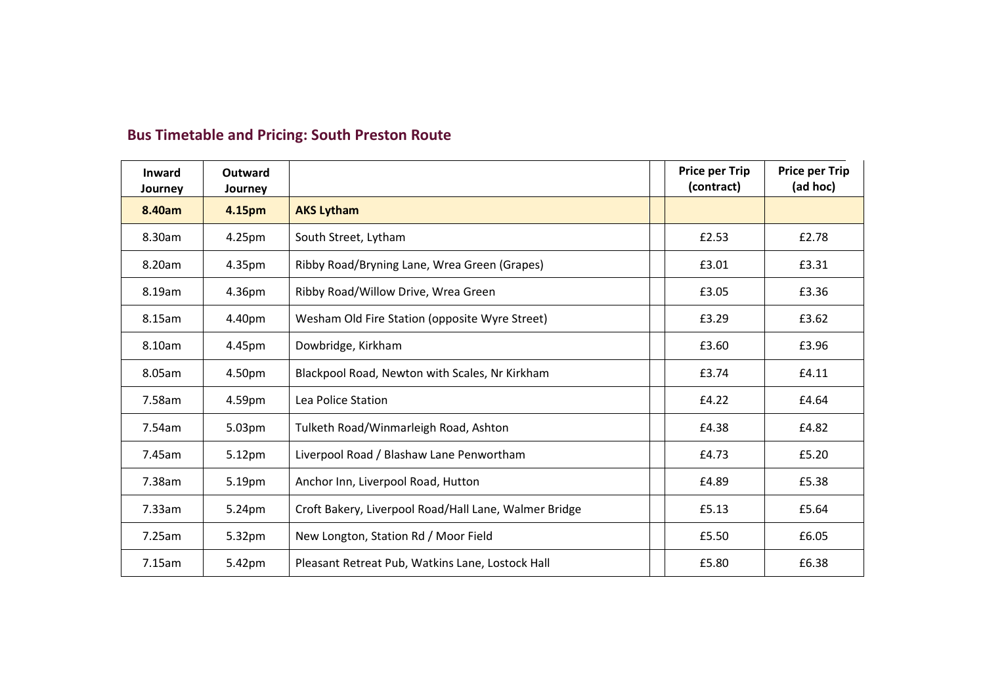| <b>Inward</b><br>Journey | Outward<br>Journey |                                                       | <b>Price per Trip</b><br>(contract) | <b>Price per Trip</b><br>(ad hoc) |
|--------------------------|--------------------|-------------------------------------------------------|-------------------------------------|-----------------------------------|
| 8.40am                   | 4.15pm             | <b>AKS Lytham</b>                                     |                                     |                                   |
| 8.30am                   | 4.25pm             | South Street, Lytham                                  | £2.53                               | £2.78                             |
| 8.20am                   | 4.35pm             | Ribby Road/Bryning Lane, Wrea Green (Grapes)          | £3.01                               | £3.31                             |
| 8.19am                   | 4.36pm             | Ribby Road/Willow Drive, Wrea Green                   | £3.05                               | £3.36                             |
| 8.15am                   | 4.40pm             | Wesham Old Fire Station (opposite Wyre Street)        | £3.29                               | £3.62                             |
| 8.10am                   | 4.45pm             | Dowbridge, Kirkham                                    | £3.60                               | £3.96                             |
| 8.05am                   | 4.50pm             | Blackpool Road, Newton with Scales, Nr Kirkham        | £3.74                               | £4.11                             |
| 7.58am                   | 4.59pm             | Lea Police Station                                    | £4.22                               | £4.64                             |
| 7.54am                   | 5.03pm             | Tulketh Road/Winmarleigh Road, Ashton                 | £4.38                               | £4.82                             |
| 7.45am                   | 5.12pm             | Liverpool Road / Blashaw Lane Penwortham              | £4.73                               | £5.20                             |
| 7.38am                   | 5.19pm             | Anchor Inn, Liverpool Road, Hutton                    | £4.89                               | £5.38                             |
| 7.33am                   | 5.24pm             | Croft Bakery, Liverpool Road/Hall Lane, Walmer Bridge | £5.13                               | £5.64                             |
| 7.25am                   | 5.32pm             | New Longton, Station Rd / Moor Field                  | £5.50                               | £6.05                             |
| 7.15am                   | 5.42pm             | Pleasant Retreat Pub, Watkins Lane, Lostock Hall      | £5.80                               | £6.38                             |

## **Bus Timetable and Pricing: South Preston Route**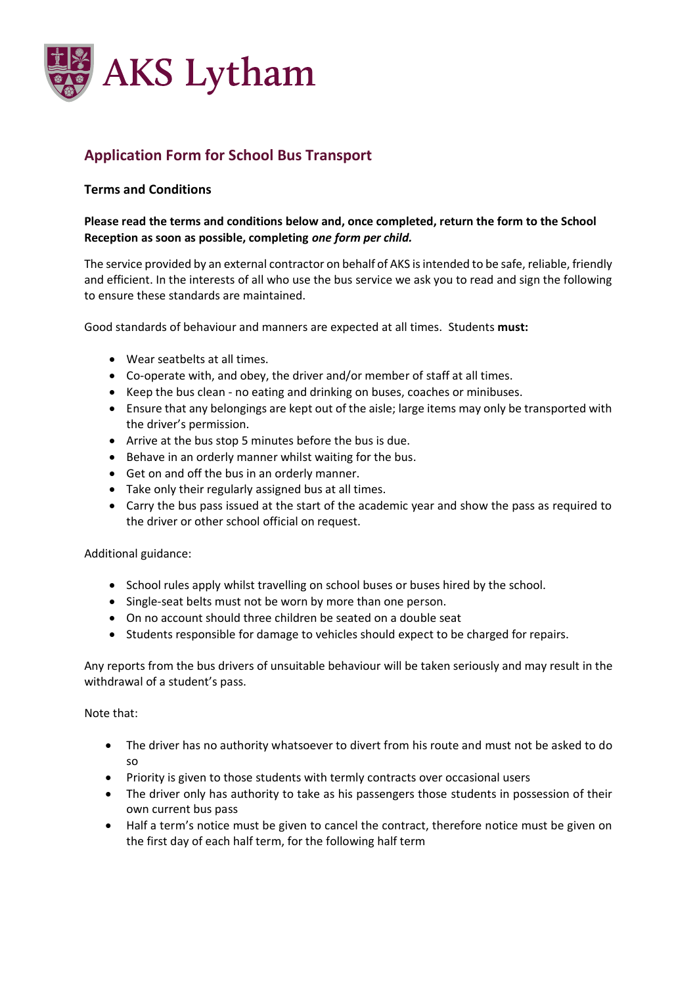

## **Application Form for School Bus Transport**

### **Terms and Conditions**

### **Please read the terms and conditions below and, once completed, return the form to the School Reception as soon as possible, completing** *one form per child.*

The service provided by an external contractor on behalf of AKS is intended to be safe, reliable, friendly and efficient. In the interests of all who use the bus service we ask you to read and sign the following to ensure these standards are maintained.

Good standards of behaviour and manners are expected at all times. Students **must:**

- Wear seatbelts at all times.
- Co-operate with, and obey, the driver and/or member of staff at all times.
- Keep the bus clean no eating and drinking on buses, coaches or minibuses.
- Ensure that any belongings are kept out of the aisle; large items may only be transported with the driver's permission.
- Arrive at the bus stop 5 minutes before the bus is due.
- Behave in an orderly manner whilst waiting for the bus.
- Get on and off the bus in an orderly manner.
- Take only their regularly assigned bus at all times.
- Carry the bus pass issued at the start of the academic year and show the pass as required to the driver or other school official on request.

Additional guidance:

- School rules apply whilst travelling on school buses or buses hired by the school.
- Single-seat belts must not be worn by more than one person.
- On no account should three children be seated on a double seat
- Students responsible for damage to vehicles should expect to be charged for repairs.

Any reports from the bus drivers of unsuitable behaviour will be taken seriously and may result in the withdrawal of a student's pass.

Note that:

- The driver has no authority whatsoever to divert from his route and must not be asked to do so
- Priority is given to those students with termly contracts over occasional users
- The driver only has authority to take as his passengers those students in possession of their own current bus pass
- Half a term's notice must be given to cancel the contract, therefore notice must be given on the first day of each half term, for the following half term